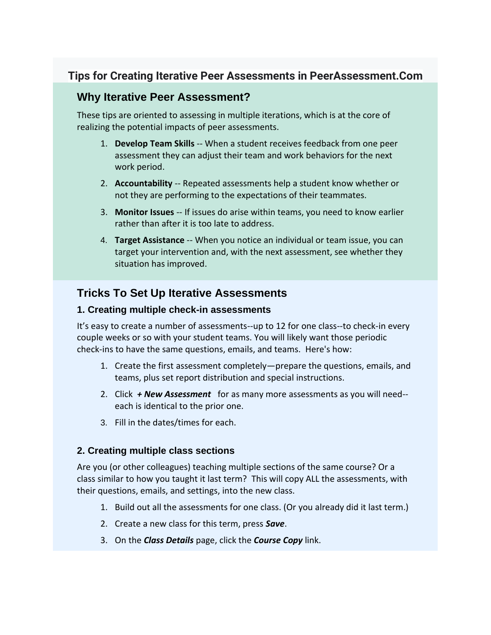# **Tips for Creating Iterative Peer Assessments in PeerAssessment.Com**

### **Why Iterative Peer Assessment?**

These tips are oriented to assessing in multiple iterations, which is at the core of realizing the potential impacts of peer assessments.

- 1. **Develop Team Skills** -- When a student receives feedback from one peer assessment they can adjust their team and work behaviors for the next work period.
- 2. **Accountability** -- Repeated assessments help a student know whether or not they are performing to the expectations of their teammates.
- 3. **Monitor Issues** -- If issues do arise within teams, you need to know earlier rather than after it is too late to address.
- 4. **Target Assistance** -- When you notice an individual or team issue, you can target your intervention and, with the next assessment, see whether they situation has improved.

## **Tricks To Set Up Iterative Assessments**

#### **1. Creating multiple check-in assessments**

It's easy to create a number of assessments--up to 12 for one class--to check-in every couple weeks or so with your student teams. You will likely want those periodic check-ins to have the same questions, emails, and teams. Here's how:

- 1. Create the first assessment completely—prepare the questions, emails, and teams, plus set report distribution and special instructions.
- 2. Click *+ New Assessment* for as many more assessments as you will need- each is identical to the prior one.
- 3. Fill in the dates/times for each.

#### **2. Creating multiple class sections**

Are you (or other colleagues) teaching multiple sections of the same course? Or a class similar to how you taught it last term? This will copy ALL the assessments, with their questions, emails, and settings, into the new class.

- 1. Build out all the assessments for one class. (Or you already did it last term.)
- 2. Create a new class for this term, press *Save*.
- 3. On the *Class Details* page, click the *Course Copy* link.